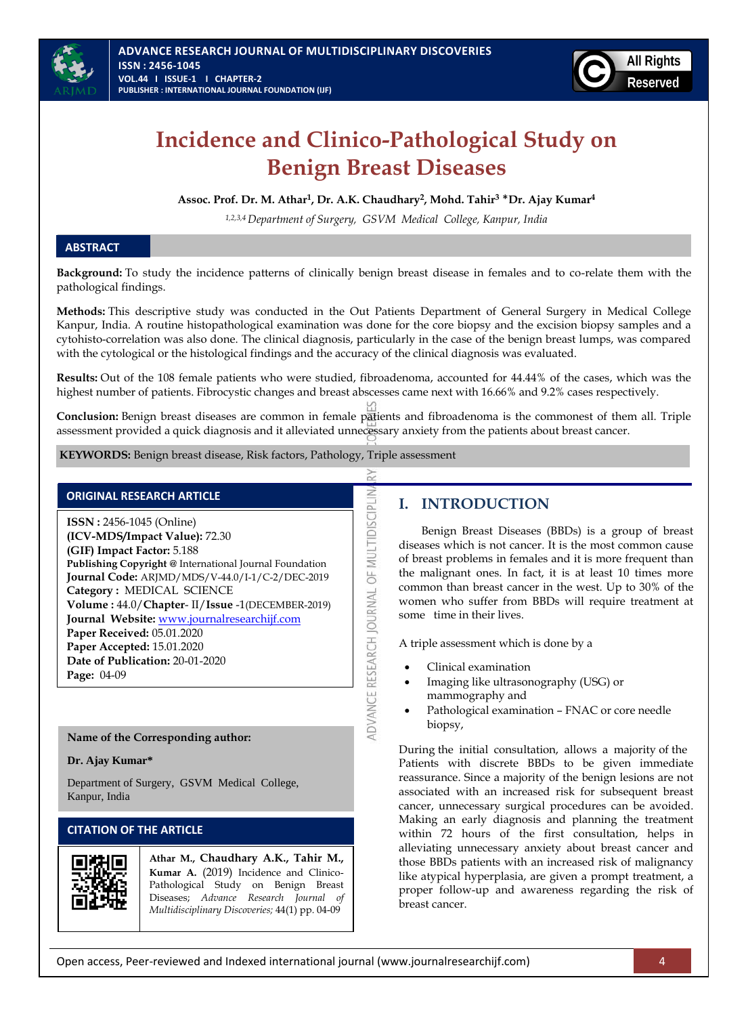

# **Incidence and Clinico-Pathological Study on Benign Breast Diseases**

**Assoc. Prof. Dr. M. Athar<sup>1</sup> , Dr. A.K. Chaudhary<sup>2</sup> , Mohd. Tahir<sup>3</sup>** \***Dr. Ajay Kumar<sup>4</sup>**

*1,2,3,4 Department of Surgery, GSVM Medical College, Kanpur, India*

### **ABSTRACT**

**Background:** To study the incidence patterns of clinically benign breast disease in females and to co-relate them with the pathological findings.

**Methods:** This descriptive study was conducted in the Out Patients Department of General Surgery in Medical College Kanpur, India. A routine histopathological examination was done for the core biopsy and the excision biopsy samples and a cytohisto-correlation was also done. The clinical diagnosis, particularly in the case of the benign breast lumps, was compared with the cytological or the histological findings and the accuracy of the clinical diagnosis was evaluated.

**Results:** Out of the 108 female patients who were studied, fibroadenoma, accounted for 44.44% of the cases, which was the highest number of patients. Fibrocystic changes and breast abscesses came next with 16.66% and 9.2% cases respectively.

**Conclusion:** Benign breast diseases are common in female patients and fibroadenoma is the commonest of them all. Triple assessment provided a quick diagnosis and it alleviated unnecessary anxiety from the patients about breast cancer.

ADVANCE RESEARCH JOURNAL OF MULTIDISCIPLIN

**KEYWORDS:** Benign breast disease, Risk factors, Pathology, Triple assessment

#### **ORIGINAL RESEARCH ARTICLE**

**ISSN :** 2456-1045 (Online) **(ICV-MDS/Impact Value):** 72.30 **(GIF) Impact Factor:** 5.188 **Publishing Copyright @** International Journal Foundation **Journal Code:** ARJMD/MDS/V-44.0/I-1/C-2/DEC-2019 **Category :** MEDICAL SCIENCE **Volume :** 44.0/**Chapter**- II/**Issue** -1(DECEMBER-2019) **Journal Website:** [www.journalresearchijf.com](http://www.journalresearchijf.com/) **Paper Received:** 05.01.2020 **Paper Accepted:** 15.01.2020 **Date of Publication:** 20-01-2020 **Page:** 04-09

# **Name of the Corresponding author:**

#### **Dr. Ajay Kumar\***

Department of Surgery, GSVM Medical College, Kanpur, India

# **CITATION OF THE ARTICLE**



**Athar M., Chaudhary A.K., Tahir M., Kumar A.** (2019) Incidence and Clinico-Pathological Study on Benign Breast Diseases; *Advance Research Journal of Multidisciplinary Discoveries;* 44(1) pp. 04-09

# **I. INTRODUCTION**

Benign Breast Diseases (BBDs) is a group of breast diseases which is not cancer. It is the most common cause of breast problems in females and it is more frequent than the malignant ones. In fact, it is at least 10 times more common than breast cancer in the west. Up to 30% of the women who suffer from BBDs will require treatment at some time in their lives.

A triple assessment which is done by a

- Clinical examination
- Imaging like ultrasonography (USG) or mammography and
- Pathological examination FNAC or core needle biopsy,

During the initial consultation, allows a majority of the Patients with discrete BBDs to be given immediate reassurance. Since a majority of the benign lesions are not associated with an increased risk for subsequent breast cancer, unnecessary surgical procedures can be avoided. Making an early diagnosis and planning the treatment within 72 hours of the first consultation, helps in alleviating unnecessary anxiety about breast cancer and those BBDs patients with an increased risk of malignancy like atypical hyperplasia, are given a prompt treatment, a proper follow-up and awareness regarding the risk of breast cancer.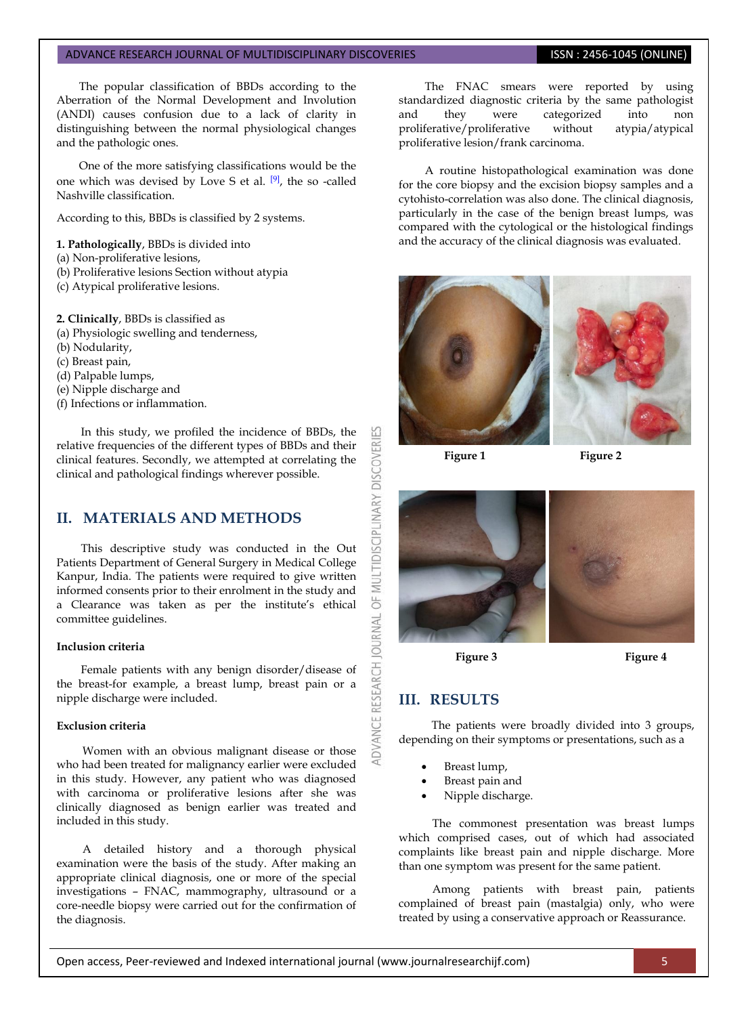The popular classification of BBDs according to the Aberration of the Normal Development and Involution (ANDI) causes confusion due to a lack of clarity in distinguishing between the normal physiological changes and the pathologic ones.

One of the more satisfying classifications would be the one which was devised by Love S et al. [\[9\]](#page-4-0), the so -called Nashville classification.

According to this, BBDs is classified by 2 systems.

#### **1. Pathologically**, BBDs is divided into

- (a) Non-proliferative lesions,
- (b) Proliferative lesions Section without atypia
- (c) Atypical proliferative lesions.

**2. Clinically**, BBDs is classified as

- (a) Physiologic swelling and tenderness,
- (b) Nodularity,
- (c) Breast pain,
- (d) Palpable lumps,
- (e) Nipple discharge and
- (f) Infections or inflammation.

In this study, we profiled the incidence of BBDs, the relative frequencies of the different types of BBDs and their clinical features. Secondly, we attempted at correlating the clinical and pathological findings wherever possible.

# **II. MATERIALS AND METHODS**

This descriptive study was conducted in the Out Patients Department of General Surgery in Medical College Kanpur, India. The patients were required to give written informed consents prior to their enrolment in the study and a Clearance was taken as per the institute's ethical committee guidelines.

#### **Inclusion criteria**

Female patients with any benign disorder/disease of the breast-for example, a breast lump, breast pain or a nipple discharge were included.

#### **Exclusion criteria**

Women with an obvious malignant disease or those who had been treated for malignancy earlier were excluded in this study. However, any patient who was diagnosed with carcinoma or proliferative lesions after she was clinically diagnosed as benign earlier was treated and included in this study.

A detailed history and a thorough physical examination were the basis of the study. After making an appropriate clinical diagnosis, one or more of the special investigations – FNAC, mammography, ultrasound or a core-needle biopsy were carried out for the confirmation of the diagnosis.

The FNAC smears were reported by using standardized diagnostic criteria by the same pathologist and they were categorized into non proliferative/proliferative without atypia/atypical proliferative lesion/frank carcinoma.

A routine histopathological examination was done for the core biopsy and the excision biopsy samples and a cytohisto-correlation was also done. The clinical diagnosis, particularly in the case of the benign breast lumps, was compared with the cytological or the histological findings and the accuracy of the clinical diagnosis was evaluated.



**Figure 1 Figure 2**

R

RESEARCH

ADVANCE



 **Figure 3 Figure 4**

# **III. RESULTS**

The patients were broadly divided into 3 groups, depending on their symptoms or presentations, such as a

- Breast lump,
- Breast pain and
- Nipple discharge.

The commonest presentation was breast lumps which comprised cases, out of which had associated complaints like breast pain and nipple discharge. More than one symptom was present for the same patient.

Among patients with breast pain, patients complained of breast pain (mastalgia) only, who were treated by using a conservative approach or Reassurance.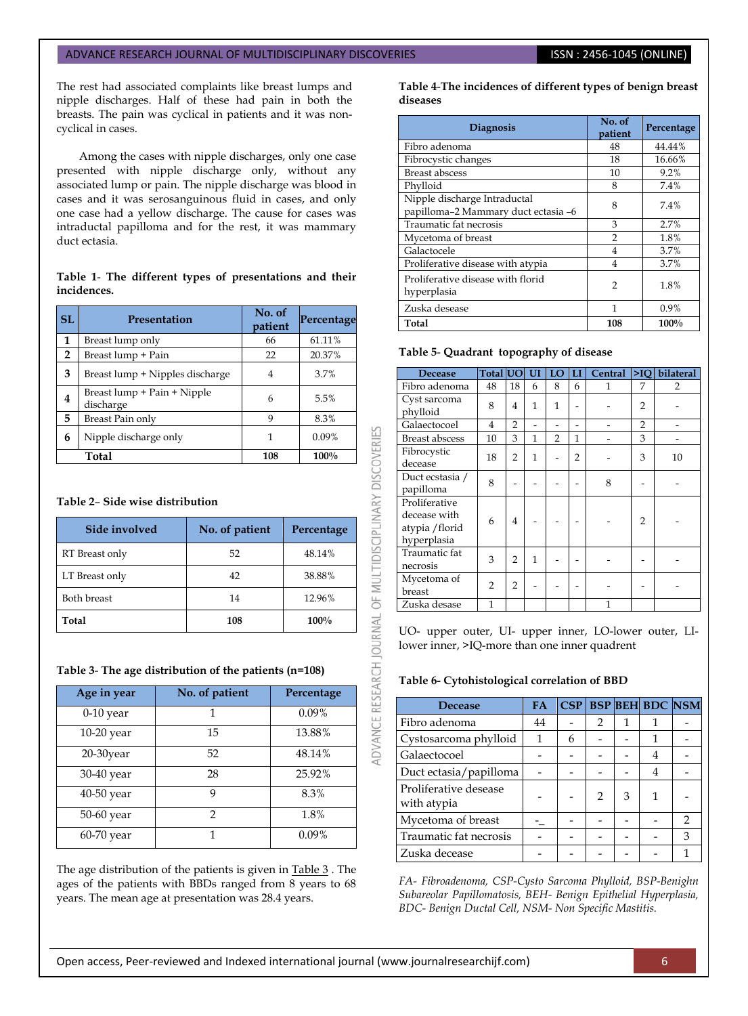The rest had associated complaints like breast lumps and nipple discharges. Half of these had pain in both the breasts. The pain was cyclical in patients and it was noncyclical in cases.

Among the cases with nipple discharges, only one case presented with nipple discharge only, without any associated lump or pain. The nipple discharge was blood in cases and it was serosanguinous fluid in cases, and only one case had a yellow discharge. The cause for cases was intraductal papilloma and for the rest, it was mammary duct ectasia.

#### **Table 1**- **The different types of presentations and their incidences.**

| <b>SL</b>      | <b>Presentation</b>                      | No. of<br>patient | Percentage |  |
|----------------|------------------------------------------|-------------------|------------|--|
| 1              | Breast lump only                         | 66                | 61.11%     |  |
| $\overline{2}$ | Breast lump + Pain                       | 22                | 20.37%     |  |
| 3              | Breast lump + Nipples discharge          | 4                 | 3.7%       |  |
| 4              | Breast lump + Pain + Nipple<br>discharge | 6                 | 5.5%       |  |
| 5              | Breast Pain only                         | $\mathbf Q$       | 8.3%       |  |
| 6              | Nipple discharge only                    | 1                 | 0.09%      |  |
|                | Total                                    | 108               | 100%       |  |

# **Table 2**– **Side wise distribution**

| Side involved      | No. of patient | Percentage |
|--------------------|----------------|------------|
| RT Breast only     | 52             | 48.14%     |
| LT Breast only     | 42             | 38.88%     |
| <b>Both breast</b> | 14             | 12.96%     |
| Total              | 108            | 100%       |

#### **Table 3**- **The age distribution of the patients (n=108)**

| Age in year  | No. of patient | Percentage |
|--------------|----------------|------------|
| $0-10$ year  | 1              | $0.09\%$   |
| $10-20$ year | 15             | 13.88%     |
| $20-30$ year | 52             | 48.14%     |
| 30-40 year   | 28             | 25.92%     |
| 40-50 year   | 9              | 8.3%       |
| 50-60 year   | 2              | 1.8%       |
| $60-70$ year | 1              | 0.09%      |

The age distribution of the patients is given in Table 3 . The ages of the patients with BBDs ranged from 8 years to 68 years. The mean age at presentation was 28.4 years.

**Table 4**-**The incidences of different types of benign breast diseases**

| <b>Diagnosis</b>                                                    | No. of<br>patient | Percentage |
|---------------------------------------------------------------------|-------------------|------------|
| Fibro adenoma                                                       | 48                | 44.44%     |
| Fibrocystic changes                                                 | 18                | 16.66%     |
| <b>Breast abscess</b>                                               | 10                | 9.2%       |
| Phylloid                                                            | 8                 | 7.4%       |
| Nipple discharge Intraductal<br>papilloma-2 Mammary duct ectasia -6 | 8                 | 7.4%       |
| Traumatic fat necrosis                                              | 3                 | 2.7%       |
| Mycetoma of breast                                                  | 2                 | 1.8%       |
| Galactocele                                                         | 4                 | 3.7%       |
| Proliferative disease with atypia                                   | 4                 | 3.7%       |
| Proliferative disease with florid<br>hyperplasia                    | 2                 | 1.8%       |
| Zuska desease                                                       | 1                 | $0.9\%$    |
| Total                                                               | 108               | 100%       |

## **Table 5**- **Quadrant topography of disease**

| Decease                                                         | Total UO UI    |                |   | LO            | LI             | Central | >10            | bilateral      |
|-----------------------------------------------------------------|----------------|----------------|---|---------------|----------------|---------|----------------|----------------|
| Fibro adenoma                                                   | 48             | 18             | 6 | 8             | 6              | 1       | 7              | $\overline{2}$ |
| Cyst sarcoma<br>phylloid                                        | 8              | 4              | 1 | $\mathbf{1}$  |                |         | 2              |                |
| Galaectocoel                                                    | 4              | $\overline{2}$ |   |               |                |         | $\overline{2}$ |                |
| <b>Breast abscess</b>                                           | 10             | 3              | 1 | $\mathcal{P}$ | 1              |         | 3              |                |
| Fibrocystic<br>decease                                          | 18             | $\overline{2}$ | 1 |               | $\overline{2}$ |         | 3              | 10             |
| Duct ecstasia /<br>papilloma                                    | 8              |                |   |               |                | 8       |                |                |
| Proliferative<br>decease with<br>atypia / florid<br>hyperplasia | 6              | 4              |   |               |                |         | $\overline{2}$ |                |
| Traumatic fat<br>necrosis                                       | 3              | 2              | 1 |               |                |         |                |                |
| Mycetoma of<br>breast                                           | $\overline{2}$ | $\overline{2}$ |   |               |                |         |                |                |
| Zuska desase                                                    | 1              |                |   |               |                | 1       |                |                |

UO- upper outer, UI- upper inner, LO-lower outer, LIlower inner, >IQ-more than one inner quadrent

# **Table 6- Cytohistological correlation of BBD**

| <b>Decease</b>                       | <b>FA</b> |   |   |   | CSP BSP BEH BDC NSM |   |
|--------------------------------------|-----------|---|---|---|---------------------|---|
| Fibro adenoma                        | 44        |   | 2 | 1 |                     |   |
| Cystosarcoma phylloid                | 1         | 6 |   |   | 1                   |   |
| Galaectocoel                         |           |   |   |   |                     |   |
| Duct ectasia/papilloma               |           |   |   |   | 4                   |   |
| Proliferative desease<br>with atypia |           |   | 2 | 3 |                     |   |
| Mycetoma of breast                   |           |   |   |   |                     | 2 |
| Traumatic fat necrosis               |           |   |   |   |                     | 3 |
| Zuska decease                        |           |   |   |   |                     |   |

*FA- Fibroadenoma, CSP-Cysto Sarcoma Phylloid, BSP-Benighn Subareolar Papillomatosis, BEH- Benign Epithelial Hyperplasia, BDC- Benign Ductal Cell, NSM- Non Specific Mastitis.*

ADVANCE RESEARCH JOURNAL OF MULTIDISCIPLINARY DISCOVERIES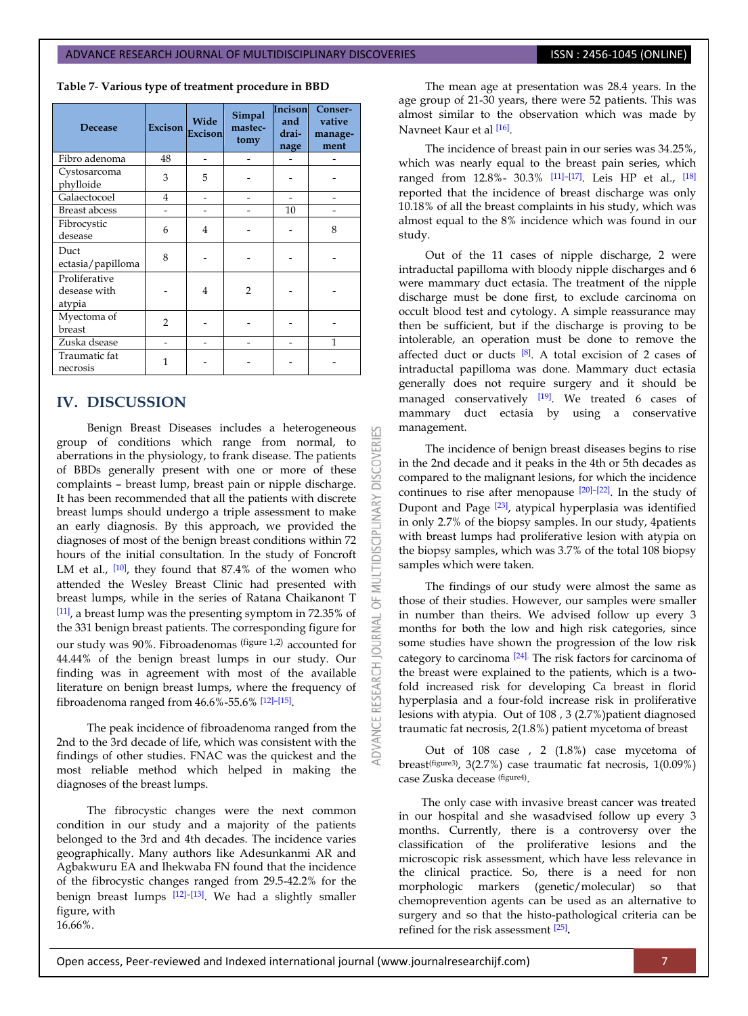**Table 7**- **Various type of treatment procedure in BBD**

| Decease                                 | <b>Excison</b> | Wide<br>Excison | Incison<br>Simpal<br>mastec-<br>tomy |    | Conser-<br>vative<br>manage-<br>ment |
|-----------------------------------------|----------------|-----------------|--------------------------------------|----|--------------------------------------|
| Fibro adenoma                           | 48             |                 |                                      |    |                                      |
| Cystosarcoma<br>phylloide               | 3              | 5               |                                      |    |                                      |
| Galaectocoel                            | $\overline{4}$ |                 |                                      |    |                                      |
| <b>Breast</b> abcess                    |                |                 |                                      | 10 |                                      |
| Fibrocystic<br>desease                  | 6              | $\overline{4}$  |                                      |    | 8                                    |
| Duct<br>ectasia/papilloma               | 8              |                 |                                      |    |                                      |
| Proliferative<br>desease with<br>atypia |                | 4               | $\mathfrak{D}$                       |    |                                      |
| Myectoma of<br>breast                   | $\overline{2}$ |                 |                                      |    |                                      |
| Zuska dsease                            |                |                 |                                      |    | 1                                    |
| Traumatic fat<br>necrosis               | 1              |                 |                                      |    |                                      |

# **IV. DISCUSSION**

Benign Breast Diseases includes a heterogeneous group of conditions which range from normal, to aberrations in the physiology, to frank disease. The patients of BBDs generally present with one or more of these complaints – breast lump, breast pain or nipple discharge. It has been recommended that all the patients with discrete breast lumps should undergo a triple assessment to make an early diagnosis. By this approach, we provided the diagnoses of most of the benign breast conditions within 72 hours of the initial consultation. In the study of Foncroft LM et al., <a>[\[10\]](#page-4-1)</a>, they found that 87.4% of the women who attended the Wesley Breast Clinic had presented with breast lumps, while in the series of Ratana Chaikanont T [\[11\]](#page-4-2), a breast lump was the presenting symptom in 72.35% of the 331 benign breast patients. The corresponding figure for our study was 90%. Fibroadenomas (figure 1,2) accounted for 44.44% of the benign breast lumps in our study. Our finding was in agreement with most of the available literature on benign breast lumps, where the frequency of fibroadenoma ranged from 46.6%-55.6% [\[12\]](#page-4-3)–[\[15\]](#page-4-4) .

The peak incidence of fibroadenoma ranged from the 2nd to the 3rd decade of life, which was consistent with the findings of other studies. FNAC was the quickest and the most reliable method which helped in making the diagnoses of the breast lumps.

The fibrocystic changes were the next common condition in our study and a majority of the patients belonged to the 3rd and 4th decades. The incidence varies geographically. Many authors like Adesunkanmi AR and Agbakwuru EA and Ihekwaba FN found that the incidence of the fibrocystic changes ranged from 29.5-42.2% for the benign breast lumps <a>[\[12\]](#page-4-3)</a>-<a>[\[13\]](#page-4-5)</a>. We had a slightly smaller figure, with 16.66%.

The mean age at presentation was 28.4 years. In the age group of 21-30 years, there were 52 patients. This was almost similar to the observation which was made by Navneet Kaur et al [\[16\]](#page-4-6). j

The incidence of breast pain in our series was 34.25%, which was nearly equal to the breast pain series, which ranged from 12.8%- 30.3% [\[11\]](#page-4-2)–[\[17\]](#page-4-7). Leis HP et al., [\[18\]](#page-4-8) reported that the incidence of breast discharge was only 10.18% of all the breast complaints in his study, which was almost equal to the 8% incidence which was found in our study.

Out of the 11 cases of nipple discharge, 2 were intraductal papilloma with bloody nipple discharges and 6 were mammary duct ectasia. The treatment of the nipple discharge must be done first, to exclude carcinoma on occult blood test and cytology. A simple reassurance may then be sufficient, but if the discharge is proving to be intolerable, an operation must be done to remove the affected duct or ducts  $[8]$ . A total excision of 2 cases of intraductal papilloma was done. Mammary duct ectasia generally does not require surgery and it should be managed conservatively [\[19\]](#page-4-10). We treated 6 cases of mammary duct ectasia by using a conservative management.

The incidence of benign breast diseases begins to rise in the 2nd decade and it peaks in the 4th or 5th decades as compared to the malignant lesions, for which the incidence continues to rise after menopause [\[20\]](#page-4-11)–[\[22\]](#page-5-0). In the study of Dupont and Page [\[23\]](#page-5-1), atypical hyperplasia was identified in only 2.7% of the biopsy samples. In our study, 4patients with breast lumps had proliferative lesion with atypia on the biopsy samples, which was 3.7% of the total 108 biopsy samples which were taken.

The findings of our study were almost the same as those of their studies. However, our samples were smaller in number than theirs. We advised follow up every 3 months for both the low and high risk categories, since some studies have shown the progression of the low risk category to carcinoma  $[24]$ . The risk factors for carcinoma of the breast were explained to the patients, which is a twofold increased risk for developing Ca breast in florid hyperplasia and a four-fold increase risk in proliferative lesions with atypia. Out of 108 , 3 (2.7%)patient diagnosed traumatic fat necrosis, 2(1.8%) patient mycetoma of breast

Out of 108 case , 2 (1.8%) case mycetoma of breast<sup>(figure3)</sup>, 3(2.7%) case traumatic fat necrosis, 1(0.09%) case Zuska decease (figure4) .

The only case with invasive breast cancer was treated in our hospital and she wasadvised follow up every 3 months. Currently, there is a controversy over the classification of the proliferative lesions and the microscopic risk assessment, which have less relevance in the clinical practice. So, there is a need for non morphologic markers (genetic/molecular) so that chemoprevention agents can be used as an alternative to surgery and so that the histo-pathological criteria can be refined for the risk assessment [\[25\]](#page-5-3) **.**

K

**DISCOVERI** 

INARY

5

5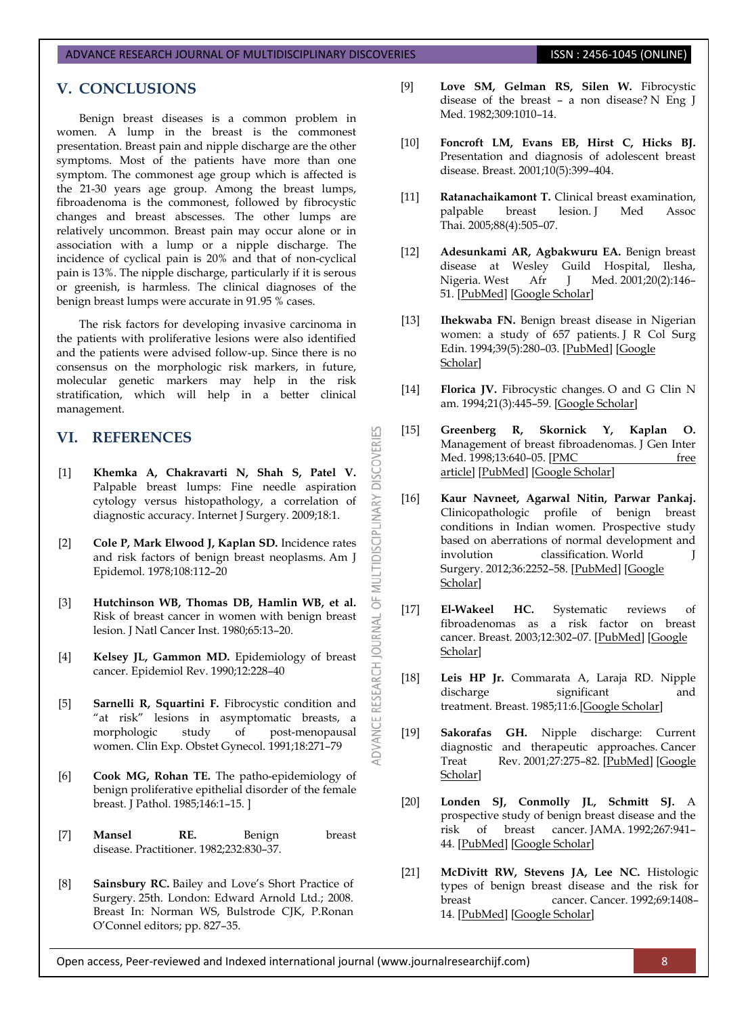# **V. CONCLUSIONS**

Benign breast diseases is a common problem in women. A lump in the breast is the commonest presentation. Breast pain and nipple discharge are the other symptoms. Most of the patients have more than one symptom. The commonest age group which is affected is the 21-30 years age group. Among the breast lumps, fibroadenoma is the commonest, followed by fibrocystic changes and breast abscesses. The other lumps are relatively uncommon. Breast pain may occur alone or in association with a lump or a nipple discharge. The incidence of cyclical pain is 20% and that of non-cyclical pain is 13%. The nipple discharge, particularly if it is serous or greenish, is harmless. The clinical diagnoses of the benign breast lumps were accurate in 91.95 % cases.

The risk factors for developing invasive carcinoma in the patients with proliferative lesions were also identified and the patients were advised follow-up. Since there is no consensus on the morphologic risk markers, in future, molecular genetic markers may help in the risk stratification, which will help in a better clinical management.

# **VI. REFERENCES**

[1] **Khemka A, Chakravarti N, Shah S, Patel V.** Palpable breast lumps: Fine needle aspiration cytology versus histopathology, a correlation of diagnostic accuracy. Internet J Surgery. 2009;18:1.

MULTIDISCIPLINARY DISCOVERIES

 $\overline{0}$ 

**ADVANCE RESEARCH JOURNAL** 

- [2] **Cole P, Mark Elwood J, Kaplan SD.** Incidence rates and risk factors of benign breast neoplasms. Am J Epidemol. 1978;108:112–20
- [3] **Hutchinson WB, Thomas DB, Hamlin WB, et al.** Risk of breast cancer in women with benign breast lesion. J Natl Cancer Inst. 1980;65:13–20.
- [4] **Kelsey JL, Gammon MD.** Epidemiology of breast cancer. Epidemiol Rev. 1990;12:228–40
- [5] **Sarnelli R, Squartini F.** Fibrocystic condition and "at risk" lesions in asymptomatic breasts, a morphologic study of post-menopausal women. Clin Exp. Obstet Gynecol. 1991;18:271–79
- [6] **Cook MG, Rohan TE.** The patho-epidemiology of benign proliferative epithelial disorder of the female breast. J Pathol. 1985;146:1–15. ]
- [7] **Mansel RE.** Benign breast disease. Practitioner. 1982;232:830–37.
- <span id="page-4-9"></span>[8] **Sainsbury RC.** Bailey and Love's Short Practice of Surgery. 25th. London: Edward Arnold Ltd.; 2008. Breast In: Norman WS, Bulstrode CJK, P.Ronan O'Connel editors; pp. 827–35.
- <span id="page-4-0"></span>[9] **Love SM, Gelman RS, Silen W.** Fibrocystic disease of the breast – a non disease? N Eng J Med. 1982;309:1010–14.
- <span id="page-4-1"></span>[10] **Foncroft LM, Evans EB, Hirst C, Hicks BJ.** Presentation and diagnosis of adolescent breast disease. Breast. 2001;10(5):399–404.
- <span id="page-4-2"></span>[11] **Ratanachaikamont T.** Clinical breast examination, breast lesion. J Med Assoc Thai. 2005;88(4):505–07.
- <span id="page-4-3"></span>[12] **Adesunkami AR, Agbakwuru EA.** Benign breast disease at Wesley Guild Hospital, Ilesha, Nigeria. West Afr J Med. 2001;20(2):146– 51. [\[PubMed\]](https://www.ncbi.nlm.nih.gov/pubmed/11768015) [\[Google Scholar\]](https://scholar.google.com/scholar_lookup?journal=West+Afr+J+Med&title=Benign+breast+disease+at+Wesley+Guild+Hospital,+Ilesha,+Nigeria&author=AR+Adesunkami&author=EA+Agbakwuru&volume=20&issue=2&publication_year=2001&pages=146-51&pmid=11768015&)
- <span id="page-4-5"></span>[13] **Ihekwaba FN.** Benign breast disease in Nigerian women: a study of 657 patients. J R Col Surg Edin. 1994;39(5):280–03. [\[PubMed\]](https://www.ncbi.nlm.nih.gov/pubmed/7861334) [\[Google](https://scholar.google.com/scholar_lookup?journal=J+R+Col+Surg+Edin&title=Benign+breast+disease+in+Nigerian+women:+a+study+of+657+patients&author=FN+Ihekwaba&volume=39&issue=5&publication_year=1994&pages=280-03&)  [Scholar\]](https://scholar.google.com/scholar_lookup?journal=J+R+Col+Surg+Edin&title=Benign+breast+disease+in+Nigerian+women:+a+study+of+657+patients&author=FN+Ihekwaba&volume=39&issue=5&publication_year=1994&pages=280-03&)
- [14] **Florica JV.** Fibrocystic changes. O and G Clin N am. 1994;21(3):445–59. [\[Google Scholar\]](https://scholar.google.com/scholar_lookup?journal=O+and+G+Clin+N+am&title=Fibrocystic+changes&author=JV+Florica&volume=21&issue=3&publication_year=1994&pages=445-59&)
- <span id="page-4-4"></span>[15] **Greenberg R, Skornick Y, Kaplan O.**  Management of breast fibroadenomas. J Gen Inter Med. 1998;13:640-05. [PMC free [article\]](https://www.ncbi.nlm.nih.gov/pmc/articles/PMC1497021/) [\[PubMed\]](https://www.ncbi.nlm.nih.gov/pubmed/9754521) [\[Google Scholar\]](https://scholar.google.com/scholar_lookup?journal=J+Gen+Inter+Med&title=Management+of+breast+fibroadenomas&author=R+Greenberg&author=Y+Skornick&author=O+Kaplan&volume=13&publication_year=1998&pages=640-05&)
- <span id="page-4-6"></span>[16] **Kaur Navneet, Agarwal Nitin, Parwar Pankaj.**  Clinicopathologic profile of benign breast conditions in Indian women. Prospective study based on aberrations of normal development and involution classification. World J Surgery. 2012;36:2252–58. [\[PubMed\]](https://www.ncbi.nlm.nih.gov/pubmed/22744217) [\[Google](https://scholar.google.com/scholar_lookup?journal=World+J+Surgery&title=Clinicopathologic+profile+of+benign+breast+conditions+in+Indian+women.+Prospective+study+based+on+aberrations+of+normal+development+and+involution+classification&author=Navneet+Kaur&author=Nitin+Agarwal&author=Pankaj+Parwar&volume=36&publication_year=2012&pages=2252-58&)  [Scholar\]](https://scholar.google.com/scholar_lookup?journal=World+J+Surgery&title=Clinicopathologic+profile+of+benign+breast+conditions+in+Indian+women.+Prospective+study+based+on+aberrations+of+normal+development+and+involution+classification&author=Navneet+Kaur&author=Nitin+Agarwal&author=Pankaj+Parwar&volume=36&publication_year=2012&pages=2252-58&)
- <span id="page-4-7"></span>[17] **El-Wakeel HC.** Systematic reviews of fibroadenomas as a risk factor on breast cancer. Breast. 2003;12:302–07. [\[PubMed\]](https://www.ncbi.nlm.nih.gov/pubmed/14659144) [\[Google](https://scholar.google.com/scholar_lookup?journal=Breast&title=Systematic+reviews+of+fibroadenomas+as+a+risk+factor+on+breast+cancer&author=HC+El-Wakeel&volume=12&publication_year=2003&pages=302-07&pmid=14659144&)  [Scholar\]](https://scholar.google.com/scholar_lookup?journal=Breast&title=Systematic+reviews+of+fibroadenomas+as+a+risk+factor+on+breast+cancer&author=HC+El-Wakeel&volume=12&publication_year=2003&pages=302-07&pmid=14659144&)
- <span id="page-4-8"></span>[18] **Leis HP Jr.** Commarata A, Laraja RD. Nipple discharge significant and treatment. Breast. 1985;11:6.[\[Google Scholar\]](https://scholar.google.com/scholar_lookup?journal=Breast&title=Commarata+A,+Laraja+RD.+Nipple+discharge+significant+and+treatment&author=HP+Jr+Leis&volume=11&publication_year=1985&pages=6&)
- <span id="page-4-10"></span>[19] **Sakorafas GH.** Nipple discharge: Current diagnostic and therapeutic approaches. Cancer Treat Rev. 2001;27:275-82. [\[PubMed\]](https://www.ncbi.nlm.nih.gov/pubmed/11871863) [Google [Scholar\]](https://scholar.google.com/scholar_lookup?journal=Cancer+Treat+Rev&title=Nipple+discharge:+Current+diagnostic+and+therapeutic+approaches&author=GH+Sakorafas&volume=27&publication_year=2001&pages=275-82&pmid=11871863&)
- <span id="page-4-11"></span>[20] **Londen SJ, Conmolly JL, Schmitt SJ.** A prospective study of benign breast disease and the risk of breast cancer. JAMA. 1992;267:941– 44. [\[PubMed\]](https://www.ncbi.nlm.nih.gov/pubmed/1734106) [\[Google Scholar\]](https://scholar.google.com/scholar_lookup?journal=JAMA&title=A+prospective+study+of+benign+breast+disease+and+the+risk+of+breast+cancer&author=SJ+Londen&author=JL+Conmolly&author=SJ+Schmitt&volume=267&publication_year=1992&pages=941-44&pmid=1734106&)
- [21] **McDivitt RW, Stevens JA, Lee NC.** Histologic types of benign breast disease and the risk for breast cancer. Cancer. 1992;69:1408– 14. [\[PubMed\]](https://www.ncbi.nlm.nih.gov/pubmed/1540878) [\[Google Scholar\]](https://scholar.google.com/scholar_lookup?journal=Cancer&title=Histologic+types+of+benign+breast+disease+and+the+risk+for+breast+cancer&author=RW+McDivitt&author=JA+Stevens&author=NC+Lee&volume=69&publication_year=1992&pages=1408-14&pmid=1540878&)

Open access, Peer-reviewed and Indexed international journal (www.journalresearchijf.com) 8